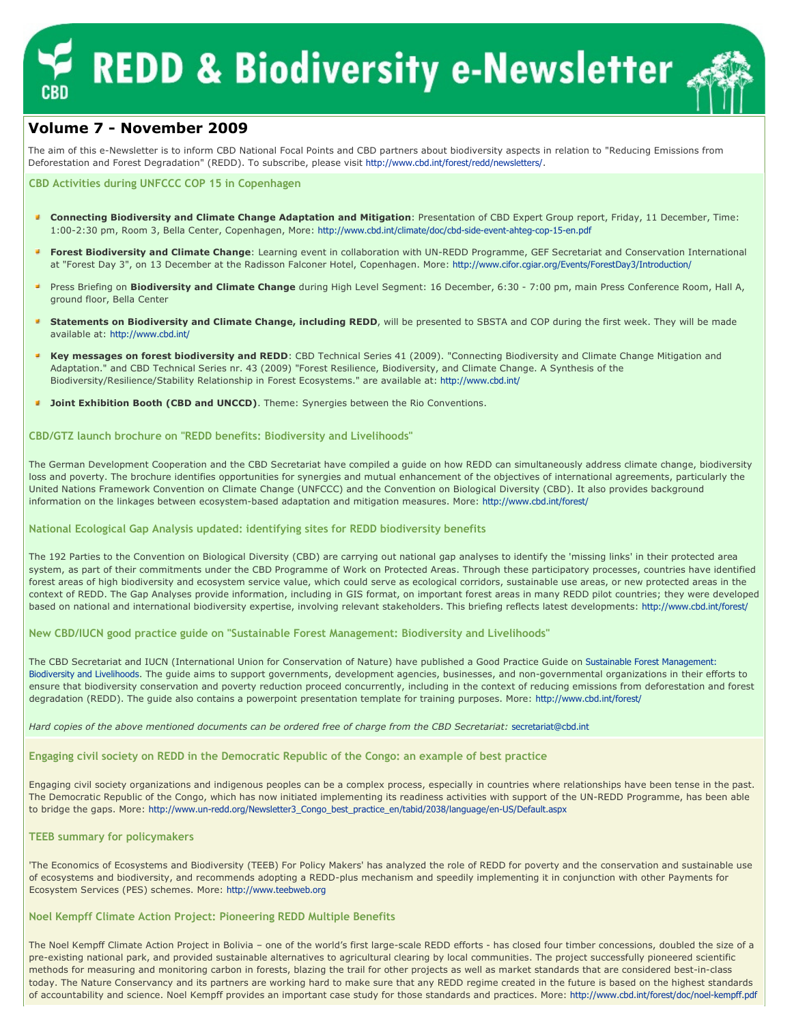# **REDD & Biodiversity e-Newsletter**



# Volume 7 - November 2009

The aim of this e-Newsletter is to inform CBD National Focal Points and CBD partners about biodiversity aspects in relation to "Reducing Emissions from Deforestation and Forest Degradation" (REDD). To subscribe, please visit http://www.cbd.int/forest/redd/newsletters/.

# CBD Activities during UNFCCC COP 15 in Copenhagen

- Connecting Biodiversity and Climate Change Adaptation and Mitigation: Presentation of CBD Expert Group report, Friday, 11 December, Time: 1:00-2:30 pm, Room 3, Bella Center, Copenhagen, More: http://www.cbd.int/climate/doc/cbd-side-event-ahteg-cop-15-en.pdf
- Forest Biodiversity and Climate Change: Learning event in collaboration with UN-REDD Programme, GEF Secretariat and Conservation International at "Forest Day 3", on 13 December at the Radisson Falconer Hotel, Copenhagen. More: http://www.cifor.cgiar.org/Events/ForestDay3/Introduction/
- Press Briefing on **Biodiversity and Climate Change** during High Level Segment: 16 December, 6:30 7:00 pm, main Press Conference Room, Hall A, ground floor, Bella Center
- Statements on Biodiversity and Climate Change, including REDD, will be presented to SBSTA and COP during the first week. They will be made available at: http://www.cbd.int/
- Key messages on forest biodiversity and REDD: CBD Technical Series 41 (2009). "Connecting Biodiversity and Climate Change Mitigation and Adaptation." and CBD Technical Series nr. 43 (2009) "Forest Resilience, Biodiversity, and Climate Change. A Synthesis of the Biodiversity/Resilience/Stability Relationship in Forest Ecosystems." are available at: http://www.cbd.int/
- **Joint Exhibition Booth (CBD and UNCCD)**. Theme: Synergies between the Rio Conventions.

# CBD/GTZ launch brochure on "REDD benefits: Biodiversity and Livelihoods"

The German Development Cooperation and the CBD Secretariat have compiled a guide on how REDD can simultaneously address climate change, biodiversity loss and poverty. The brochure identifies opportunities for synergies and mutual enhancement of the objectives of international agreements, particularly the United Nations Framework Convention on Climate Change (UNFCCC) and the Convention on Biological Diversity (CBD). It also provides background information on the linkages between ecosystem-based adaptation and mitigation measures. More: http://www.cbd.int/forest/

# National Ecological Gap Analysis updated: identifying sites for REDD biodiversity benefits

The 192 Parties to the Convention on Biological Diversity (CBD) are carrying out national gap analyses to identify the 'missing links' in their protected area system, as part of their commitments under the CBD Programme of Work on Protected Areas. Through these participatory processes, countries have identified forest areas of high biodiversity and ecosystem service value, which could serve as ecological corridors, sustainable use areas, or new protected areas in the context of REDD. The Gap Analyses provide information, including in GIS format, on important forest areas in many REDD pilot countries; they were developed based on national and international biodiversity expertise, involving relevant stakeholders. This briefing reflects latest developments: http://www.cbd.int/forest/

# New CBD/IUCN good practice guide on "Sustainable Forest Management: Biodiversity and Livelihoods"

The CBD Secretariat and IUCN (International Union for Conservation of Nature) have published a Good Practice Guide on Sustainable Forest Management: Biodiversity and Livelihoods. The guide aims to support governments, development agencies, businesses, and non-governmental organizations in their efforts to ensure that biodiversity conservation and poverty reduction proceed concurrently, including in the context of reducing emissions from deforestation and forest degradation (REDD). The guide also contains a powerpoint presentation template for training purposes. More: http://www.cbd.int/forest/

Hard copies of the above mentioned documents can be ordered free of charge from the CBD Secretariat: secretariat@cbd.int

Engaging civil society on REDD in the Democratic Republic of the Congo: an example of best practice

Engaging civil society organizations and indigenous peoples can be a complex process, especially in countries where relationships have been tense in the past. The Democratic Republic of the Congo, which has now initiated implementing its readiness activities with support of the UN-REDD Programme, has been able to bridge the gaps. More: http://www.un-redd.org/Newsletter3\_Congo\_best\_practice\_en/tabid/2038/language/en-US/Default.aspx

# TEEB summary for policymakers

'The Economics of Ecosystems and Biodiversity (TEEB) For Policy Makers' has analyzed the role of REDD for poverty and the conservation and sustainable use of ecosystems and biodiversity, and recommends adopting a REDD-plus mechanism and speedily implementing it in conjunction with other Payments for Ecosystem Services (PES) schemes. More: http://www.teebweb.org

# Noel Kempff Climate Action Project: Pioneering REDD Multiple Benefits

The Noel Kempff Climate Action Project in Bolivia - one of the world's first large-scale REDD efforts - has closed four timber concessions, doubled the size of a pre-existing national park, and provided sustainable alternatives to agricultural clearing by local communities. The project successfully pioneered scientific methods for measuring and monitoring carbon in forests, blazing the trail for other projects as well as market standards that are considered best-in-class today. The Nature Conservancy and its partners are working hard to make sure that any REDD regime created in the future is based on the highest standards of accountability and science. Noel Kempff provides an important case study for those standards and practices. More: http://www.cbd.int/forest/doc/noel-kempff.pdf